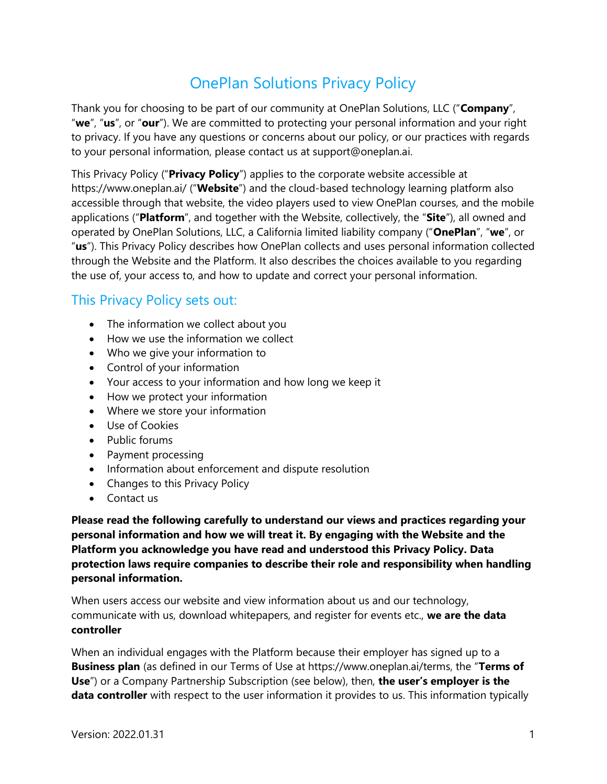# OnePlan Solutions Privacy Policy

Thank you for choosing to be part of our community at OnePlan Solutions, LLC ("Company", "we", "us", or "our"). We are committed to protecting your personal information and your right to privacy. If you have any questions or concerns about our policy, or our practices with regards to your personal information, please contact us at support@oneplan.ai.

This Privacy Policy ("**Privacy Policy**") applies to the corporate website accessible at https://www.oneplan.ai/ ("Website") and the cloud-based technology learning platform also accessible through that website, the video players used to view OnePlan courses, and the mobile applications ("Platform", and together with the Website, collectively, the "Site"), all owned and operated by OnePlan Solutions, LLC, a California limited liability company ("OnePlan", "we", or "us"). This Privacy Policy describes how OnePlan collects and uses personal information collected through the Website and the Platform. It also describes the choices available to you regarding the use of, your access to, and how to update and correct your personal information.

## This Privacy Policy sets out:

- The information we collect about you
- How we use the information we collect
- Who we give your information to
- Control of your information
- Your access to your information and how long we keep it
- How we protect your information
- Where we store your information
- Use of Cookies
- Public forums
- Payment processing
- Information about enforcement and dispute resolution
- Changes to this Privacy Policy
- Contact us

Please read the following carefully to understand our views and practices regarding your personal information and how we will treat it. By engaging with the Website and the Platform you acknowledge you have read and understood this Privacy Policy. Data protection laws require companies to describe their role and responsibility when handling personal information.

When users access our website and view information about us and our technology, communicate with us, download whitepapers, and register for events etc., we are the data controller

When an individual engages with the Platform because their employer has signed up to a Business plan (as defined in our Terms of Use at https://www.oneplan.ai/terms, the "Terms of Use") or a Company Partnership Subscription (see below), then, the user's employer is the data controller with respect to the user information it provides to us. This information typically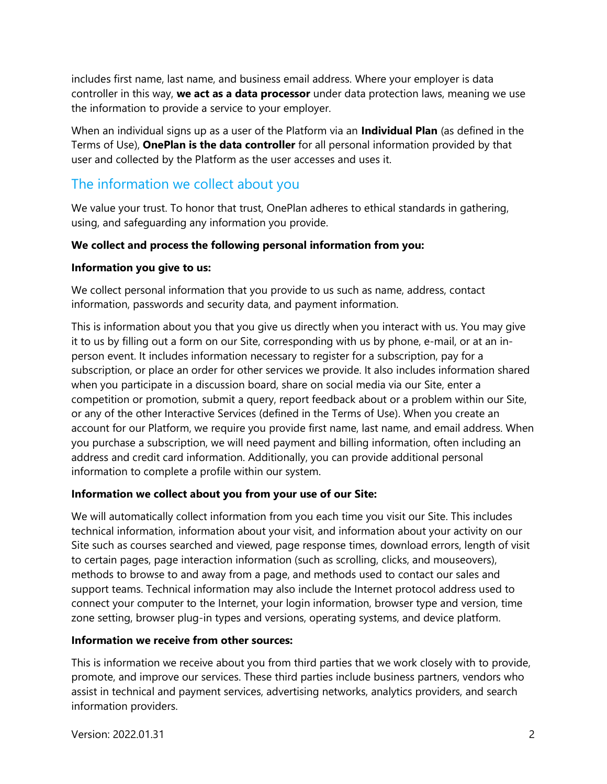includes first name, last name, and business email address. Where your employer is data controller in this way, we act as a data processor under data protection laws, meaning we use the information to provide a service to your employer.

When an individual signs up as a user of the Platform via an Individual Plan (as defined in the Terms of Use), OnePlan is the data controller for all personal information provided by that user and collected by the Platform as the user accesses and uses it.

# The information we collect about you

We value your trust. To honor that trust, OnePlan adheres to ethical standards in gathering, using, and safeguarding any information you provide.

#### We collect and process the following personal information from you:

#### Information you give to us:

We collect personal information that you provide to us such as name, address, contact information, passwords and security data, and payment information.

This is information about you that you give us directly when you interact with us. You may give it to us by filling out a form on our Site, corresponding with us by phone, e-mail, or at an inperson event. It includes information necessary to register for a subscription, pay for a subscription, or place an order for other services we provide. It also includes information shared when you participate in a discussion board, share on social media via our Site, enter a competition or promotion, submit a query, report feedback about or a problem within our Site, or any of the other Interactive Services (defined in the Terms of Use). When you create an account for our Platform, we require you provide first name, last name, and email address. When you purchase a subscription, we will need payment and billing information, often including an address and credit card information. Additionally, you can provide additional personal information to complete a profile within our system.

#### Information we collect about you from your use of our Site:

We will automatically collect information from you each time you visit our Site. This includes technical information, information about your visit, and information about your activity on our Site such as courses searched and viewed, page response times, download errors, length of visit to certain pages, page interaction information (such as scrolling, clicks, and mouseovers), methods to browse to and away from a page, and methods used to contact our sales and support teams. Technical information may also include the Internet protocol address used to connect your computer to the Internet, your login information, browser type and version, time zone setting, browser plug-in types and versions, operating systems, and device platform.

#### Information we receive from other sources:

This is information we receive about you from third parties that we work closely with to provide, promote, and improve our services. These third parties include business partners, vendors who assist in technical and payment services, advertising networks, analytics providers, and search information providers.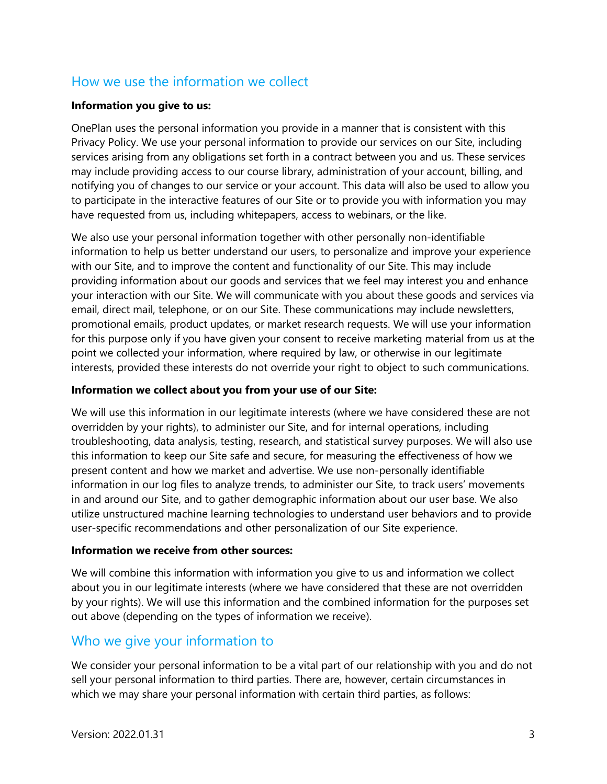# How we use the information we collect

#### Information you give to us:

OnePlan uses the personal information you provide in a manner that is consistent with this Privacy Policy. We use your personal information to provide our services on our Site, including services arising from any obligations set forth in a contract between you and us. These services may include providing access to our course library, administration of your account, billing, and notifying you of changes to our service or your account. This data will also be used to allow you to participate in the interactive features of our Site or to provide you with information you may have requested from us, including whitepapers, access to webinars, or the like.

We also use your personal information together with other personally non-identifiable information to help us better understand our users, to personalize and improve your experience with our Site, and to improve the content and functionality of our Site. This may include providing information about our goods and services that we feel may interest you and enhance your interaction with our Site. We will communicate with you about these goods and services via email, direct mail, telephone, or on our Site. These communications may include newsletters, promotional emails, product updates, or market research requests. We will use your information for this purpose only if you have given your consent to receive marketing material from us at the point we collected your information, where required by law, or otherwise in our legitimate interests, provided these interests do not override your right to object to such communications.

#### Information we collect about you from your use of our Site:

We will use this information in our legitimate interests (where we have considered these are not overridden by your rights), to administer our Site, and for internal operations, including troubleshooting, data analysis, testing, research, and statistical survey purposes. We will also use this information to keep our Site safe and secure, for measuring the effectiveness of how we present content and how we market and advertise. We use non-personally identifiable information in our log files to analyze trends, to administer our Site, to track users' movements in and around our Site, and to gather demographic information about our user base. We also utilize unstructured machine learning technologies to understand user behaviors and to provide user-specific recommendations and other personalization of our Site experience.

#### Information we receive from other sources:

We will combine this information with information you give to us and information we collect about you in our legitimate interests (where we have considered that these are not overridden by your rights). We will use this information and the combined information for the purposes set out above (depending on the types of information we receive).

### Who we give your information to

We consider your personal information to be a vital part of our relationship with you and do not sell your personal information to third parties. There are, however, certain circumstances in which we may share your personal information with certain third parties, as follows: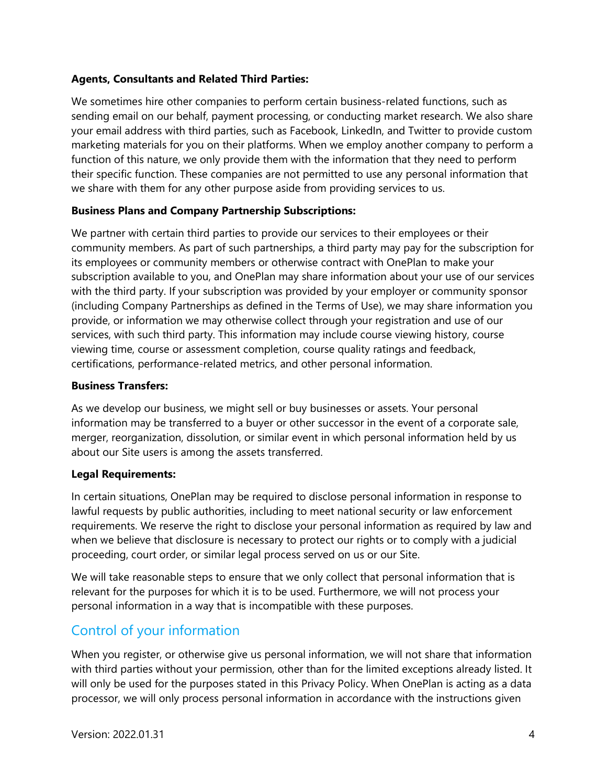#### Agents, Consultants and Related Third Parties:

We sometimes hire other companies to perform certain business-related functions, such as sending email on our behalf, payment processing, or conducting market research. We also share your email address with third parties, such as Facebook, LinkedIn, and Twitter to provide custom marketing materials for you on their platforms. When we employ another company to perform a function of this nature, we only provide them with the information that they need to perform their specific function. These companies are not permitted to use any personal information that we share with them for any other purpose aside from providing services to us.

#### Business Plans and Company Partnership Subscriptions:

We partner with certain third parties to provide our services to their employees or their community members. As part of such partnerships, a third party may pay for the subscription for its employees or community members or otherwise contract with OnePlan to make your subscription available to you, and OnePlan may share information about your use of our services with the third party. If your subscription was provided by your employer or community sponsor (including Company Partnerships as defined in the Terms of Use), we may share information you provide, or information we may otherwise collect through your registration and use of our services, with such third party. This information may include course viewing history, course viewing time, course or assessment completion, course quality ratings and feedback, certifications, performance-related metrics, and other personal information.

#### Business Transfers:

As we develop our business, we might sell or buy businesses or assets. Your personal information may be transferred to a buyer or other successor in the event of a corporate sale, merger, reorganization, dissolution, or similar event in which personal information held by us about our Site users is among the assets transferred.

#### Legal Requirements:

In certain situations, OnePlan may be required to disclose personal information in response to lawful requests by public authorities, including to meet national security or law enforcement requirements. We reserve the right to disclose your personal information as required by law and when we believe that disclosure is necessary to protect our rights or to comply with a judicial proceeding, court order, or similar legal process served on us or our Site.

We will take reasonable steps to ensure that we only collect that personal information that is relevant for the purposes for which it is to be used. Furthermore, we will not process your personal information in a way that is incompatible with these purposes.

### Control of your information

When you register, or otherwise give us personal information, we will not share that information with third parties without your permission, other than for the limited exceptions already listed. It will only be used for the purposes stated in this Privacy Policy. When OnePlan is acting as a data processor, we will only process personal information in accordance with the instructions given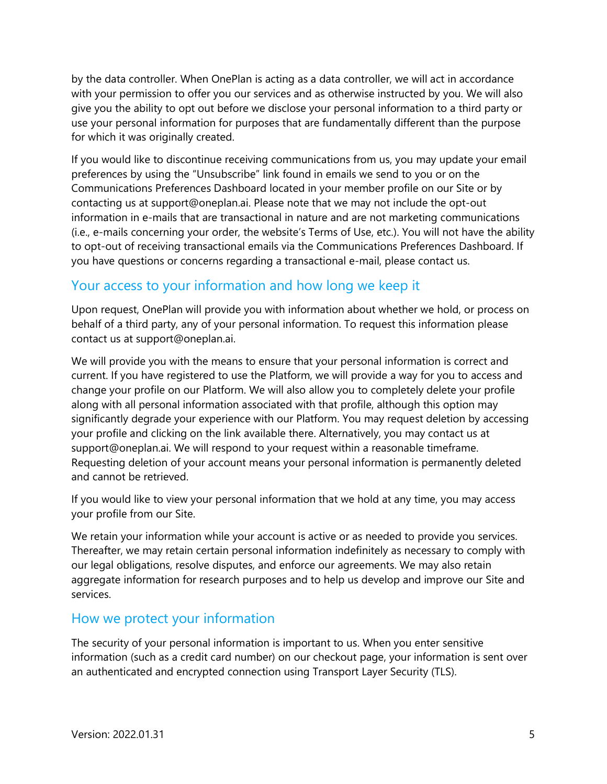by the data controller. When OnePlan is acting as a data controller, we will act in accordance with your permission to offer you our services and as otherwise instructed by you. We will also give you the ability to opt out before we disclose your personal information to a third party or use your personal information for purposes that are fundamentally different than the purpose for which it was originally created.

If you would like to discontinue receiving communications from us, you may update your email preferences by using the "Unsubscribe" link found in emails we send to you or on the Communications Preferences Dashboard located in your member profile on our Site or by contacting us at support@oneplan.ai. Please note that we may not include the opt-out information in e-mails that are transactional in nature and are not marketing communications (i.e., e-mails concerning your order, the website's Terms of Use, etc.). You will not have the ability to opt-out of receiving transactional emails via the Communications Preferences Dashboard. If you have questions or concerns regarding a transactional e-mail, please contact us.

## Your access to your information and how long we keep it

Upon request, OnePlan will provide you with information about whether we hold, or process on behalf of a third party, any of your personal information. To request this information please contact us at support@oneplan.ai.

We will provide you with the means to ensure that your personal information is correct and current. If you have registered to use the Platform, we will provide a way for you to access and change your profile on our Platform. We will also allow you to completely delete your profile along with all personal information associated with that profile, although this option may significantly degrade your experience with our Platform. You may request deletion by accessing your profile and clicking on the link available there. Alternatively, you may contact us at support@oneplan.ai. We will respond to your request within a reasonable timeframe. Requesting deletion of your account means your personal information is permanently deleted and cannot be retrieved.

If you would like to view your personal information that we hold at any time, you may access your profile from our Site.

We retain your information while your account is active or as needed to provide you services. Thereafter, we may retain certain personal information indefinitely as necessary to comply with our legal obligations, resolve disputes, and enforce our agreements. We may also retain aggregate information for research purposes and to help us develop and improve our Site and services.

### How we protect your information

The security of your personal information is important to us. When you enter sensitive information (such as a credit card number) on our checkout page, your information is sent over an authenticated and encrypted connection using Transport Layer Security (TLS).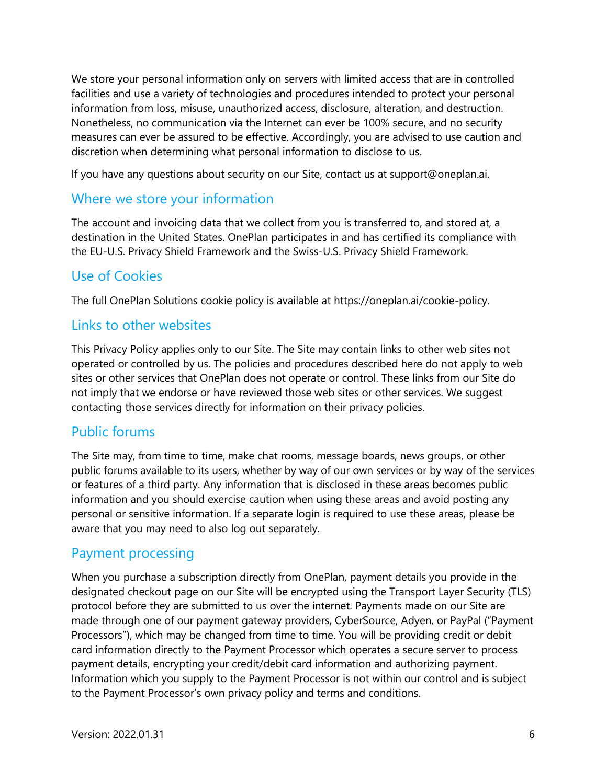We store your personal information only on servers with limited access that are in controlled facilities and use a variety of technologies and procedures intended to protect your personal information from loss, misuse, unauthorized access, disclosure, alteration, and destruction. Nonetheless, no communication via the Internet can ever be 100% secure, and no security measures can ever be assured to be effective. Accordingly, you are advised to use caution and discretion when determining what personal information to disclose to us.

If you have any questions about security on our Site, contact us at support@oneplan.ai.

### Where we store your information

The account and invoicing data that we collect from you is transferred to, and stored at, a destination in the United States. OnePlan participates in and has certified its compliance with the EU-U.S. Privacy Shield Framework and the Swiss-U.S. Privacy Shield Framework.

### Use of Cookies

The full OnePlan Solutions cookie policy is available at https://oneplan.ai/cookie-policy.

### Links to other websites

This Privacy Policy applies only to our Site. The Site may contain links to other web sites not operated or controlled by us. The policies and procedures described here do not apply to web sites or other services that OnePlan does not operate or control. These links from our Site do not imply that we endorse or have reviewed those web sites or other services. We suggest contacting those services directly for information on their privacy policies.

### Public forums

The Site may, from time to time, make chat rooms, message boards, news groups, or other public forums available to its users, whether by way of our own services or by way of the services or features of a third party. Any information that is disclosed in these areas becomes public information and you should exercise caution when using these areas and avoid posting any personal or sensitive information. If a separate login is required to use these areas, please be aware that you may need to also log out separately.

### Payment processing

When you purchase a subscription directly from OnePlan, payment details you provide in the designated checkout page on our Site will be encrypted using the Transport Layer Security (TLS) protocol before they are submitted to us over the internet. Payments made on our Site are made through one of our payment gateway providers, CyberSource, Adyen, or PayPal ("Payment Processors"), which may be changed from time to time. You will be providing credit or debit card information directly to the Payment Processor which operates a secure server to process payment details, encrypting your credit/debit card information and authorizing payment. Information which you supply to the Payment Processor is not within our control and is subject to the Payment Processor's own privacy policy and terms and conditions.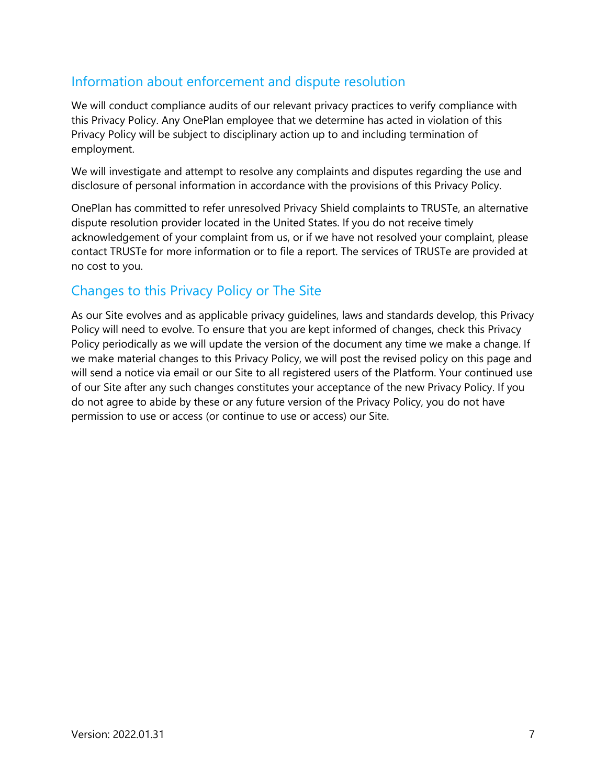# Information about enforcement and dispute resolution

We will conduct compliance audits of our relevant privacy practices to verify compliance with this Privacy Policy. Any OnePlan employee that we determine has acted in violation of this Privacy Policy will be subject to disciplinary action up to and including termination of employment.

We will investigate and attempt to resolve any complaints and disputes regarding the use and disclosure of personal information in accordance with the provisions of this Privacy Policy.

OnePlan has committed to refer unresolved Privacy Shield complaints to TRUSTe, an alternative dispute resolution provider located in the United States. If you do not receive timely acknowledgement of your complaint from us, or if we have not resolved your complaint, please contact TRUSTe for more information or to file a report. The services of TRUSTe are provided at no cost to you.

# Changes to this Privacy Policy or The Site

As our Site evolves and as applicable privacy guidelines, laws and standards develop, this Privacy Policy will need to evolve. To ensure that you are kept informed of changes, check this Privacy Policy periodically as we will update the version of the document any time we make a change. If we make material changes to this Privacy Policy, we will post the revised policy on this page and will send a notice via email or our Site to all registered users of the Platform. Your continued use of our Site after any such changes constitutes your acceptance of the new Privacy Policy. If you do not agree to abide by these or any future version of the Privacy Policy, you do not have permission to use or access (or continue to use or access) our Site.